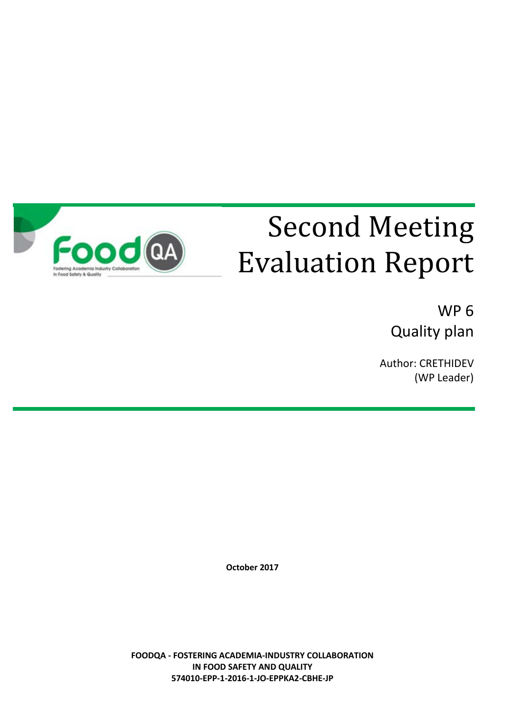

# Second Meeting Evaluation Report

WP 6 Quality plan

Author: CRETHIDEV (WP Leader)

**October 2017**

**FOODQA - FOSTERING ACADEMIA-INDUSTRY COLLABORATION IN FOOD SAFETY AND QUALITY 574010-EPP-1-2016-1-JO-EPPKA2-CBHE-JP**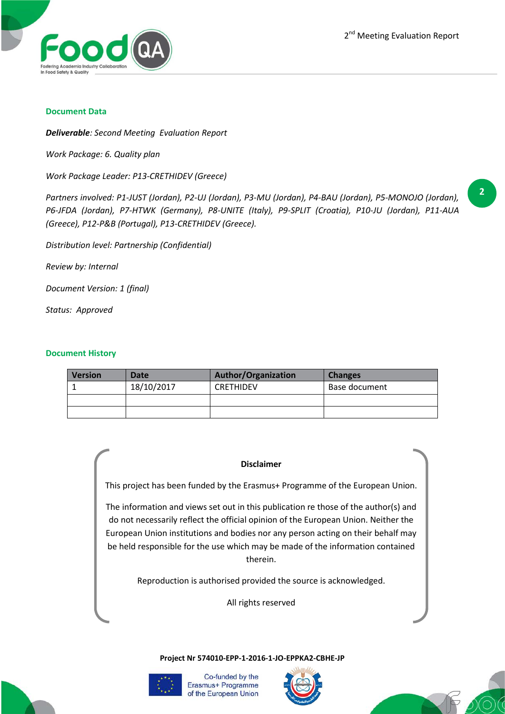

### **Document Data**

*Deliverable: Second Meeting Evaluation Report*

*Work Package: 6. Quality plan*

*Work Package Leader: P13-CRETHIDEV (Greece)*

*Partners involved: P1-JUST (Jordan), P2-UJ (Jordan), P3-MU (Jordan), P4-BAU (Jordan), P5-MONOJO (Jordan), P6-JFDA (Jordan), P7-HTWK (Germany), P8-UNITE (Italy), P9-SPLIT (Croatia), P10-JU (Jordan), P11-AUA (Greece), P12-P&B (Portugal), P13-CRETHIDEV (Greece).*

*Distribution level: Partnership (Confidential)*

*Review by: Internal*

*Document Version: 1 (final)*

*Status: Approved*

#### **Document History**

| Version | Date       | <b>Author/Organization</b> | <b>Changes</b> |
|---------|------------|----------------------------|----------------|
|         | 18/10/2017 | <b>CRETHIDEV</b>           | Base document  |
|         |            |                            |                |
|         |            |                            |                |

#### **Disclaimer**

This project has been funded by the Erasmus+ Programme of the European Union.

The information and views set out in this publication re those of the author(s) and do not necessarily reflect the official opinion of the European Union. Neither the European Union institutions and bodies nor any person acting on their behalf may be held responsible for the use which may be made of the information contained therein.

Reproduction is authorised provided the source is acknowledged.

All rights reserved

**Project Nr 574010-EPP-1-2016-1-JO-EPPKA2-CBHE-JP**



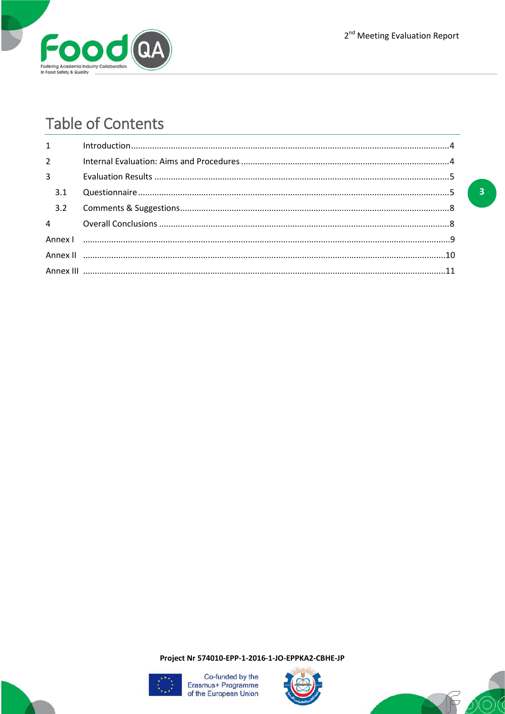

# **Table of Contents**

| $1 \quad \blacksquare$ |  |
|------------------------|--|
| $2^{\sim}$             |  |
| $3^{\circ}$            |  |
| 3.1                    |  |
| 3.2                    |  |
|                        |  |
|                        |  |
|                        |  |
|                        |  |

Project Nr 574010-EPP-1-2016-1-JO-EPPKA2-CBHE-JP





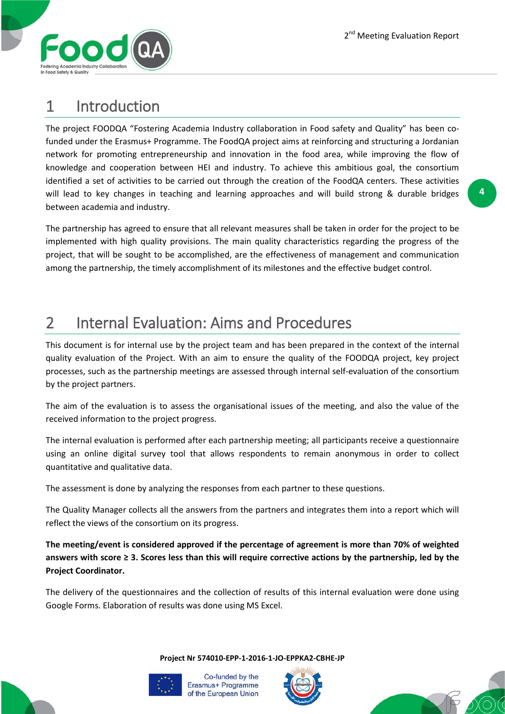

# 1 Introduction

The project FOODQA "Fostering Academia Industry collaboration in Food safety and Quality" has been cofunded under the Erasmus+ Programme. The FoodQA project aims at reinforcing and structuring a Jordanian network for promoting entrepreneurship and innovation in the food area, while improving the flow of knowledge and cooperation between HEI and industry. To achieve this ambitious goal, the consortium identified a set of activities to be carried out through the creation of the FoodQA centers. These activities will lead to key changes in teaching and learning approaches and will build strong & durable bridges between academia and industry.

The partnership has agreed to ensure that all relevant measures shall be taken in order for the project to be implemented with high quality provisions. The main quality characteristics regarding the progress of the project, that will be sought to be accomplished, are the effectiveness of management and communication among the partnership, the timely accomplishment of its milestones and the effective budget control.

# 2 Internal Evaluation: Aims and Procedures

This document is for internal use by the project team and has been prepared in the context of the internal quality evaluation of the Project. With an aim to ensure the quality of the FOODQA project, key project processes, such as the partnership meetings are assessed through internal self-evaluation of the consortium by the project partners.

The aim of the evaluation is to assess the organisational issues of the meeting, and also the value of the received information to the project progress.

The internal evaluation is performed after each partnership meeting; all participants receive a questionnaire using an online digital survey tool that allows respondents to remain anonymous in order to collect quantitative and qualitative data.

The assessment is done by analyzing the responses from each partner to these questions.

The Quality Manager collects all the answers from the partners and integrates them into a report which will reflect the views of the consortium on its progress.

**The meeting/event is considered approved if the percentage of agreement is more than 70% of weighted answers with score ≥ 3. Scores less than this will require corrective actions by the partnership, led by the Project Coordinator.**

The delivery of the questionnaires and the collection of results of this internal evaluation were done using Google Forms. Elaboration of results was done using MS Excel.

**Project Nr 574010-EPP-1-2016-1-JO-EPPKA2-CBHE-JP**





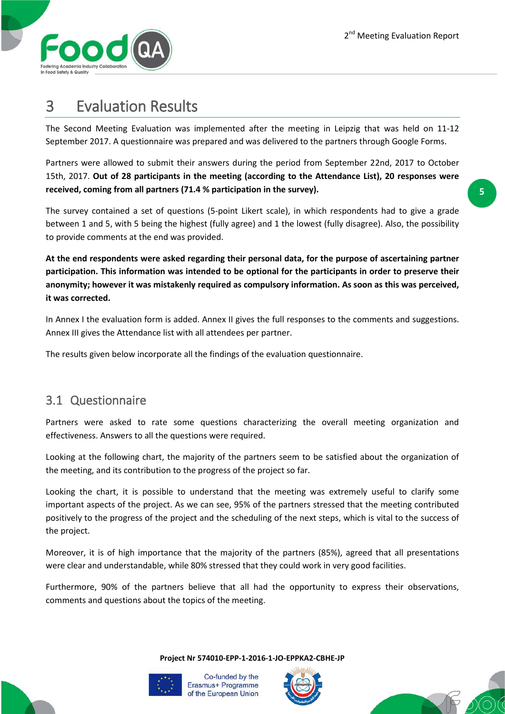

# 3 Evaluation Results

The Second Meeting Evaluation was implemented after the meeting in Leipzig that was held on 11-12 September 2017. A questionnaire was prepared and was delivered to the partners through Google Forms.

Partners were allowed to submit their answers during the period from September 22nd, 2017 to October 15th, 2017. **Out of 28 participants in the meeting (according to the Attendance List), 20 responses were received, coming from all partners (71.4 % participation in the survey).**

The survey contained a set of questions (5-point Likert scale), in which respondents had to give a grade between 1 and 5, with 5 being the highest (fully agree) and 1 the lowest (fully disagree). Also, the possibility to provide comments at the end was provided.

**At the end respondents were asked regarding their personal data, for the purpose of ascertaining partner participation. This information was intended to be optional for the participants in order to preserve their anonymity; however it was mistakenly required as compulsory information. As soon as this was perceived, it was corrected.**

In Annex I the evaluation form is added. Annex II gives the full responses to the comments and suggestions. Annex III gives the Attendance list with all attendees per partner.

The results given below incorporate all the findings of the evaluation questionnaire.

## 3.1 Questionnaire

Partners were asked to rate some questions characterizing the overall meeting organization and effectiveness. Answers to all the questions were required.

Looking at the following chart, the majority of the partners seem to be satisfied about the organization of the meeting, and its contribution to the progress of the project so far.

Looking the chart, it is possible to understand that the meeting was extremely useful to clarify some important aspects of the project. As we can see, 95% of the partners stressed that the meeting contributed positively to the progress of the project and the scheduling of the next steps, which is vital to the success of the project.

Moreover, it is of high importance that the majority of the partners (85%), agreed that all presentations were clear and understandable, while 80% stressed that they could work in very good facilities.

Furthermore, 90% of the partners believe that all had the opportunity to express their observations, comments and questions about the topics of the meeting.

**Project Nr 574010-EPP-1-2016-1-JO-EPPKA2-CBHE-JP**





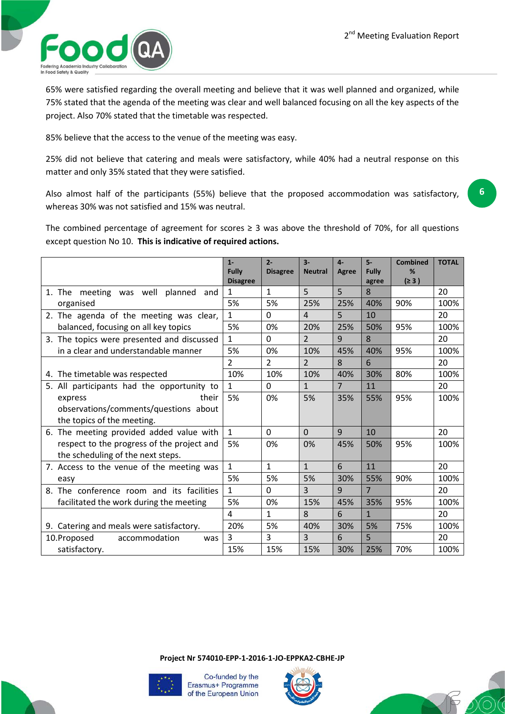

65% were satisfied regarding the overall meeting and believe that it was well planned and organized, while 75% stated that the agenda of the meeting was clear and well balanced focusing on all the key aspects of the project. Also 70% stated that the timetable was respected.

85% believe that the access to the venue of the meeting was easy.

25% did not believe that catering and meals were satisfactory, while 40% had a neutral response on this matter and only 35% stated that they were satisfied.

Also almost half of the participants (55%) believe that the proposed accommodation was satisfactory, whereas 30% was not satisfied and 15% was neutral.

The combined percentage of agreement for scores  $\geq$  3 was above the threshold of 70%, for all questions except question No 10. **This is indicative of required actions.**

|                                            | $1 -$<br><b>Fully</b><br><b>Disagree</b> | $2 -$<br><b>Disagree</b> | $3-$<br><b>Neutral</b> | $\mathbf{A}$<br>Agree | $5-$<br><b>Fully</b><br>agree | <b>Combined</b><br>%<br>(≥ 3) | <b>TOTAL</b> |
|--------------------------------------------|------------------------------------------|--------------------------|------------------------|-----------------------|-------------------------------|-------------------------------|--------------|
| 1. The meeting was well planned<br>and     | $\mathbf{1}$                             | $\mathbf{1}$             | 5                      | 5                     | 8                             |                               | 20           |
| organised                                  | 5%                                       | 5%                       | 25%                    | 25%                   | 40%                           | 90%                           | 100%         |
| 2. The agenda of the meeting was clear,    | $\mathbf{1}$                             | 0                        | $\overline{4}$         | 5                     | 10                            |                               | 20           |
| balanced, focusing on all key topics       | 5%                                       | 0%                       | 20%                    | 25%                   | 50%                           | 95%                           | 100%         |
| 3. The topics were presented and discussed | $\mathbf{1}$                             | 0                        | $\overline{2}$         | 9                     | 8                             |                               | 20           |
| in a clear and understandable manner       | 5%                                       | 0%                       | 10%                    | 45%                   | 40%                           | 95%                           | 100%         |
|                                            | $\overline{2}$                           | $\overline{2}$           | $\overline{2}$         | 8                     | 6                             |                               | 20           |
| 4. The timetable was respected             | 10%                                      | 10%                      | 10%                    | 40%                   | 30%                           | 80%                           | 100%         |
| 5. All participants had the opportunity to | $\mathbf{1}$                             | $\Omega$                 | $\mathbf{1}$           | $\overline{7}$        | 11                            |                               | 20           |
| their<br>express                           | 5%                                       | 0%                       | 5%                     | 35%                   | 55%                           | 95%                           | 100%         |
| observations/comments/questions about      |                                          |                          |                        |                       |                               |                               |              |
| the topics of the meeting.                 |                                          |                          |                        |                       |                               |                               |              |
| 6. The meeting provided added value with   | $\mathbf{1}$                             | $\Omega$                 | $\Omega$               | 9                     | 10                            |                               | 20           |
| respect to the progress of the project and | 5%                                       | 0%                       | 0%                     | 45%                   | 50%                           | 95%                           | 100%         |
| the scheduling of the next steps.          |                                          |                          |                        |                       |                               |                               |              |
| 7. Access to the venue of the meeting was  | $\mathbf{1}$                             | $\mathbf{1}$             | $\mathbf{1}$           | 6                     | 11                            |                               | 20           |
| easy                                       | 5%                                       | 5%                       | 5%                     | 30%                   | 55%                           | 90%                           | 100%         |
| 8. The conference room and its facilities  | $\mathbf{1}$                             | $\Omega$                 | $\overline{3}$         | 9                     | $\overline{7}$                |                               | 20           |
| facilitated the work during the meeting    | 5%                                       | 0%                       | 15%                    | 45%                   | 35%                           | 95%                           | 100%         |
|                                            | 4                                        | $\mathbf{1}$             | 8                      | 6                     | $\mathbf{1}$                  |                               | 20           |
| 9. Catering and meals were satisfactory.   | 20%                                      | 5%                       | 40%                    | 30%                   | 5%                            | 75%                           | 100%         |
| 10.Proposed<br>accommodation<br>was        | 3                                        | 3                        | 3                      | 6                     | 5                             |                               | 20           |
| satisfactory.                              | 15%                                      | 15%                      | 15%                    | 30%                   | 25%                           | 70%                           | 100%         |

**Project Nr 574010-EPP-1-2016-1-JO-EPPKA2-CBHE-JP**





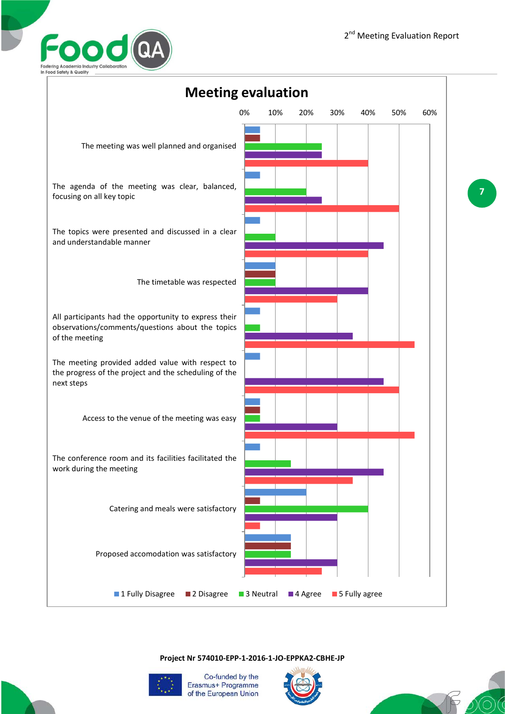



**Project Nr 574010-EPP-1-2016-1-JO-EPPKA2-CBHE-JP**





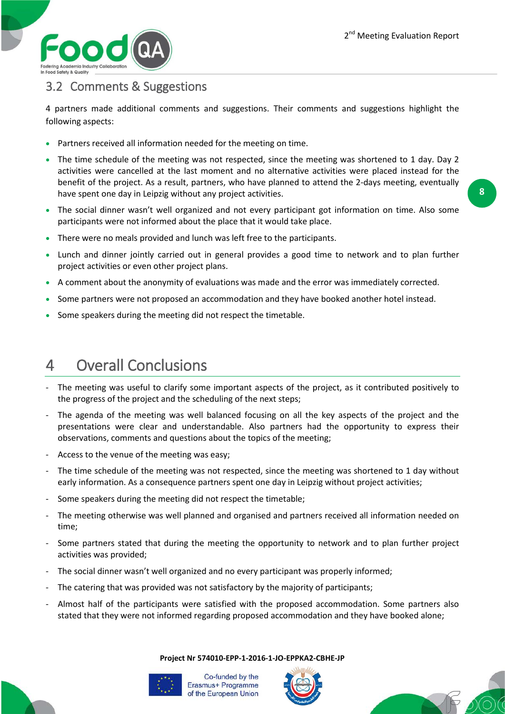

## 3.2 Comments & Suggestions

4 partners made additional comments and suggestions. Their comments and suggestions highlight the following aspects:

- Partners received all information needed for the meeting on time.
- The time schedule of the meeting was not respected, since the meeting was shortened to 1 day. Day 2 activities were cancelled at the last moment and no alternative activities were placed instead for the benefit of the project. As a result, partners, who have planned to attend the 2-days meeting, eventually have spent one day in Leipzig without any project activities.
- The social dinner wasn't well organized and not every participant got information on time. Also some participants were not informed about the place that it would take place.
- There were no meals provided and lunch was left free to the participants.
- Lunch and dinner jointly carried out in general provides a good time to network and to plan further project activities or even other project plans.
- A comment about the anonymity of evaluations was made and the error was immediately corrected.
- Some partners were not proposed an accommodation and they have booked another hotel instead.
- Some speakers during the meeting did not respect the timetable.

# 4 Overall Conclusions

- The meeting was useful to clarify some important aspects of the project, as it contributed positively to the progress of the project and the scheduling of the next steps;
- The agenda of the meeting was well balanced focusing on all the key aspects of the project and the presentations were clear and understandable. Also partners had the opportunity to express their observations, comments and questions about the topics of the meeting;
- Access to the venue of the meeting was easy;
- The time schedule of the meeting was not respected, since the meeting was shortened to 1 day without early information. As a consequence partners spent one day in Leipzig without project activities;
- Some speakers during the meeting did not respect the timetable;
- The meeting otherwise was well planned and organised and partners received all information needed on time;
- Some partners stated that during the meeting the opportunity to network and to plan further project activities was provided;
- The social dinner wasn't well organized and no every participant was properly informed;
- The catering that was provided was not satisfactory by the majority of participants;
- Almost half of the participants were satisfied with the proposed accommodation. Some partners also stated that they were not informed regarding proposed accommodation and they have booked alone;

**Project Nr 574010-EPP-1-2016-1-JO-EPPKA2-CBHE-JP**



Co-funded by the Erasmus+ Programme of the European Union





**8**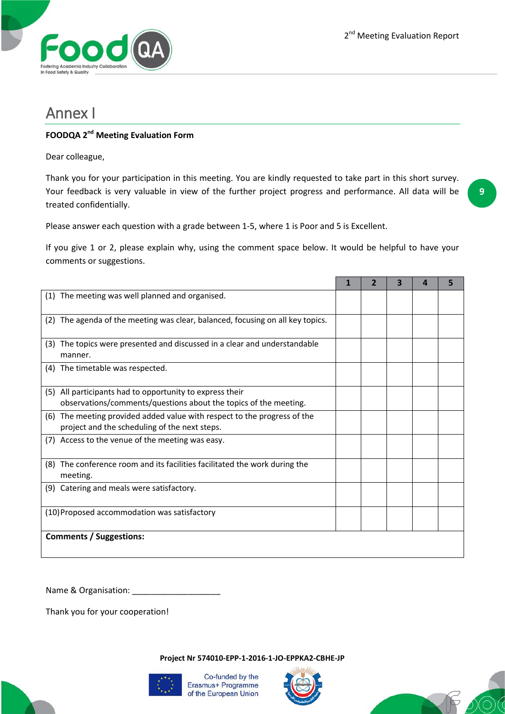

## Annex I

## **FOODQA 2nd Meeting Evaluation Form**

Dear colleague,

Thank you for your participation in this meeting. You are kindly requested to take part in this short survey. Your feedback is very valuable in view of the further project progress and performance. All data will be treated confidentially.

Please answer each question with a grade between 1-5, where 1 is Poor and 5 is Excellent.

If you give 1 or 2, please explain why, using the comment space below. It would be helpful to have your comments or suggestions.

|                                                                                                                              | 1 | 2 |  |  | 5 |
|------------------------------------------------------------------------------------------------------------------------------|---|---|--|--|---|
| (1) The meeting was well planned and organised.                                                                              |   |   |  |  |   |
| (2) The agenda of the meeting was clear, balanced, focusing on all key topics.                                               |   |   |  |  |   |
| (3) The topics were presented and discussed in a clear and understandable<br>manner.                                         |   |   |  |  |   |
| (4) The timetable was respected.                                                                                             |   |   |  |  |   |
| (5) All participants had to opportunity to express their<br>observations/comments/questions about the topics of the meeting. |   |   |  |  |   |
| (6) The meeting provided added value with respect to the progress of the<br>project and the scheduling of the next steps.    |   |   |  |  |   |
| (7) Access to the venue of the meeting was easy.                                                                             |   |   |  |  |   |
| (8) The conference room and its facilities facilitated the work during the<br>meeting.                                       |   |   |  |  |   |
| (9) Catering and meals were satisfactory.                                                                                    |   |   |  |  |   |
| (10) Proposed accommodation was satisfactory                                                                                 |   |   |  |  |   |
| <b>Comments / Suggestions:</b>                                                                                               |   |   |  |  |   |

Name & Organisation: \_\_\_\_\_\_\_\_\_\_\_\_\_\_\_\_\_\_\_

Thank you for your cooperation!

**Project Nr 574010-EPP-1-2016-1-JO-EPPKA2-CBHE-JP**





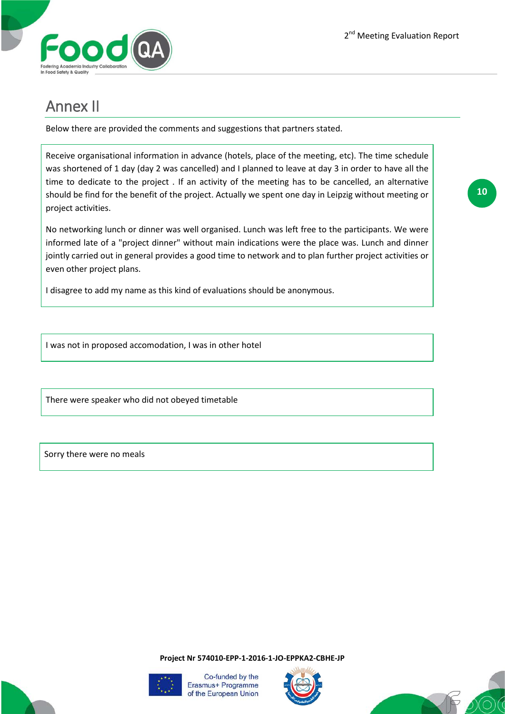

# Annex II

Below there are provided the comments and suggestions that partners stated.

Receive organisational information in advance (hotels, place of the meeting, etc). The time schedule was shortened of 1 day (day 2 was cancelled) and I planned to leave at day 3 in order to have all the time to dedicate to the project . If an activity of the meeting has to be cancelled, an alternative should be find for the benefit of the project. Actually we spent one day in Leipzig without meeting or project activities.

No networking lunch or dinner was well organised. Lunch was left free to the participants. We were informed late of a "project dinner" without main indications were the place was. Lunch and dinner jointly carried out in general provides a good time to network and to plan further project activities or even other project plans.

I disagree to add my name as this kind of evaluations should be anonymous.

I was not in proposed accomodation, I was in other hotel

There were speaker who did not obeyed timetable

Sorry there were no meals

**Project Nr 574010-EPP-1-2016-1-JO-EPPKA2-CBHE-JP**





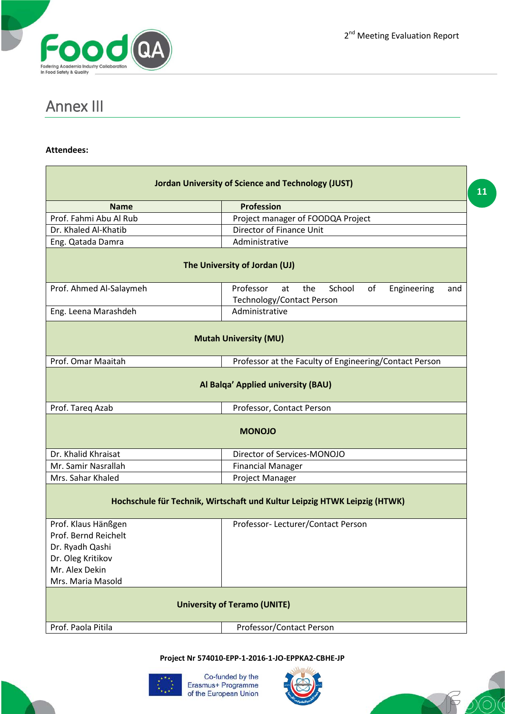

# Annex III

## **Attendees:**

| <b>Jordan University of Science and Technology (JUST)</b>                             |                                                                                           |  |  |  |  |  |  |
|---------------------------------------------------------------------------------------|-------------------------------------------------------------------------------------------|--|--|--|--|--|--|
| <b>Name</b>                                                                           | <b>Profession</b>                                                                         |  |  |  |  |  |  |
| Prof. Fahmi Abu Al Rub                                                                | Project manager of FOODQA Project                                                         |  |  |  |  |  |  |
| Dr. Khaled Al-Khatib                                                                  | Director of Finance Unit                                                                  |  |  |  |  |  |  |
| Eng. Qatada Damra                                                                     | Administrative                                                                            |  |  |  |  |  |  |
| The University of Jordan (UJ)                                                         |                                                                                           |  |  |  |  |  |  |
| Prof. Ahmed Al-Salaymeh                                                               | Professor<br>School<br>of<br>the<br>at<br>Engineering<br>and<br>Technology/Contact Person |  |  |  |  |  |  |
| Eng. Leena Marashdeh                                                                  | Administrative                                                                            |  |  |  |  |  |  |
| <b>Mutah University (MU)</b>                                                          |                                                                                           |  |  |  |  |  |  |
| Prof. Omar Maaitah                                                                    | Professor at the Faculty of Engineering/Contact Person                                    |  |  |  |  |  |  |
| Al Balqa' Applied university (BAU)                                                    |                                                                                           |  |  |  |  |  |  |
| Professor, Contact Person<br>Prof. Tareq Azab                                         |                                                                                           |  |  |  |  |  |  |
| <b>MONOJO</b>                                                                         |                                                                                           |  |  |  |  |  |  |
| Dr. Khalid Khraisat                                                                   | Director of Services-MONOJO                                                               |  |  |  |  |  |  |
| Mr. Samir Nasrallah                                                                   | <b>Financial Manager</b>                                                                  |  |  |  |  |  |  |
| Mrs. Sahar Khaled                                                                     | Project Manager                                                                           |  |  |  |  |  |  |
| Hochschule für Technik, Wirtschaft und Kultur Leipzig HTWK Leipzig (HTWK)             |                                                                                           |  |  |  |  |  |  |
| Prof. Klaus Hänßgen<br>Prof. Bernd Reichelt<br>Dr. Ryadh Qashi<br>Dr. Oleg Kritikov   | Professor-Lecturer/Contact Person                                                         |  |  |  |  |  |  |
| Mr. Alex Dekin<br>Mrs. Maria Masold                                                   |                                                                                           |  |  |  |  |  |  |
| <b>University of Teramo (UNITE)</b><br>Prof. Paola Pitila<br>Professor/Contact Person |                                                                                           |  |  |  |  |  |  |
|                                                                                       |                                                                                           |  |  |  |  |  |  |

## **Project Nr 574010-EPP-1-2016-1-JO-EPPKA2-CBHE-JP**